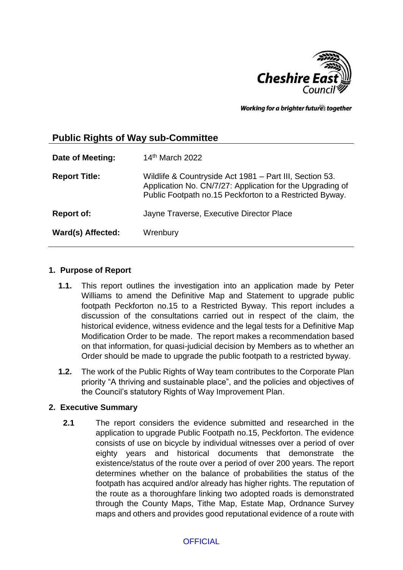

Working for a brighter futures together

# **Public Rights of Way sub-Committee**

| Date of Meeting:     | 14th March 2022                                                                                                                                                                 |
|----------------------|---------------------------------------------------------------------------------------------------------------------------------------------------------------------------------|
| <b>Report Title:</b> | Wildlife & Countryside Act 1981 - Part III, Section 53.<br>Application No. CN/7/27: Application for the Upgrading of<br>Public Footpath no.15 Peckforton to a Restricted Byway. |
| <b>Report of:</b>    | Jayne Traverse, Executive Director Place                                                                                                                                        |
| Ward(s) Affected:    | Wrenbury                                                                                                                                                                        |

## **1. Purpose of Report**

- **1.1.** This report outlines the investigation into an application made by Peter Williams to amend the Definitive Map and Statement to upgrade public footpath Peckforton no.15 to a Restricted Byway. This report includes a discussion of the consultations carried out in respect of the claim, the historical evidence, witness evidence and the legal tests for a Definitive Map Modification Order to be made. The report makes a recommendation based on that information, for quasi-judicial decision by Members as to whether an Order should be made to upgrade the public footpath to a restricted byway.
- **1.2.** The work of the Public Rights of Way team contributes to the Corporate Plan priority "A thriving and sustainable place", and the policies and objectives of the Council's statutory Rights of Way Improvement Plan.

## **2. Executive Summary**

**2.1** The report considers the evidence submitted and researched in the application to upgrade Public Footpath no.15, Peckforton. The evidence consists of use on bicycle by individual witnesses over a period of over eighty years and historical documents that demonstrate the existence/status of the route over a period of over 200 years. The report determines whether on the balance of probabilities the status of the footpath has acquired and/or already has higher rights. The reputation of the route as a thoroughfare linking two adopted roads is demonstrated through the County Maps, Tithe Map, Estate Map, Ordnance Survey maps and others and provides good reputational evidence of a route with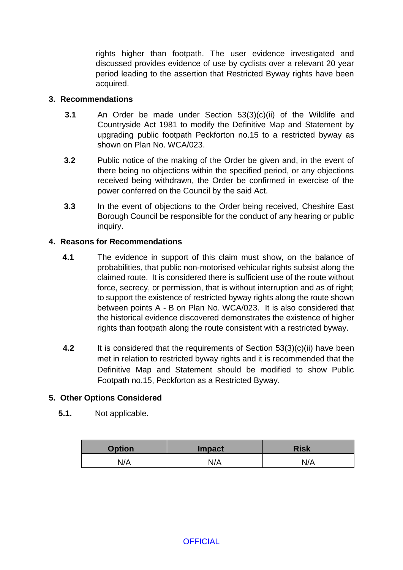rights higher than footpath. The user evidence investigated and discussed provides evidence of use by cyclists over a relevant 20 year period leading to the assertion that Restricted Byway rights have been acquired.

## **3. Recommendations**

- **3.1** An Order be made under Section 53(3)(c)(ii) of the Wildlife and Countryside Act 1981 to modify the Definitive Map and Statement by upgrading public footpath Peckforton no.15 to a restricted byway as shown on Plan No. WCA/023.
- **3.2** Public notice of the making of the Order be given and, in the event of there being no objections within the specified period, or any objections received being withdrawn, the Order be confirmed in exercise of the power conferred on the Council by the said Act.
- **3.3** In the event of objections to the Order being received, Cheshire East Borough Council be responsible for the conduct of any hearing or public inquiry.

## **4. Reasons for Recommendations**

- **4.1** The evidence in support of this claim must show, on the balance of probabilities, that public non-motorised vehicular rights subsist along the claimed route. It is considered there is sufficient use of the route without force, secrecy, or permission, that is without interruption and as of right; to support the existence of restricted byway rights along the route shown between points A - B on Plan No. WCA/023. It is also considered that the historical evidence discovered demonstrates the existence of higher rights than footpath along the route consistent with a restricted byway.
- **4.2** It is considered that the requirements of Section 53(3)(c)(ii) have been met in relation to restricted byway rights and it is recommended that the Definitive Map and Statement should be modified to show Public Footpath no.15, Peckforton as a Restricted Byway.

## **5. Other Options Considered**

**5.1.** Not applicable.

| <b>Option</b> | <b>Impact</b> | <b>Risk</b> |
|---------------|---------------|-------------|
| N/A           | N/A           | N/A         |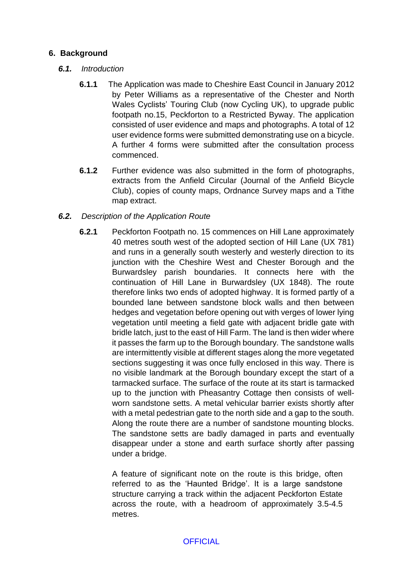## **6. Background**

## *6.1. Introduction*

- **6.1.1** The Application was made to Cheshire East Council in January 2012 by Peter Williams as a representative of the Chester and North Wales Cyclists' Touring Club (now Cycling UK), to upgrade public footpath no.15, Peckforton to a Restricted Byway. The application consisted of user evidence and maps and photographs. A total of 12 user evidence forms were submitted demonstrating use on a bicycle. A further 4 forms were submitted after the consultation process commenced.
- **6.1.2** Further evidence was also submitted in the form of photographs, extracts from the Anfield Circular (Journal of the Anfield Bicycle Club), copies of county maps, Ordnance Survey maps and a Tithe map extract.

## *6.2. Description of the Application Route*

**6.2.1** Peckforton Footpath no. 15 commences on Hill Lane approximately 40 metres south west of the adopted section of Hill Lane (UX 781) and runs in a generally south westerly and westerly direction to its junction with the Cheshire West and Chester Borough and the Burwardsley parish boundaries. It connects here with the continuation of Hill Lane in Burwardsley (UX 1848). The route therefore links two ends of adopted highway. It is formed partly of a bounded lane between sandstone block walls and then between hedges and vegetation before opening out with verges of lower lying vegetation until meeting a field gate with adjacent bridle gate with bridle latch, just to the east of Hill Farm. The land is then wider where it passes the farm up to the Borough boundary. The sandstone walls are intermittently visible at different stages along the more vegetated sections suggesting it was once fully enclosed in this way. There is no visible landmark at the Borough boundary except the start of a tarmacked surface. The surface of the route at its start is tarmacked up to the junction with Pheasantry Cottage then consists of wellworn sandstone setts. A metal vehicular barrier exists shortly after with a metal pedestrian gate to the north side and a gap to the south. Along the route there are a number of sandstone mounting blocks. The sandstone setts are badly damaged in parts and eventually disappear under a stone and earth surface shortly after passing under a bridge.

> A feature of significant note on the route is this bridge, often referred to as the 'Haunted Bridge'. It is a large sandstone structure carrying a track within the adjacent Peckforton Estate across the route, with a headroom of approximately 3.5-4.5 metres.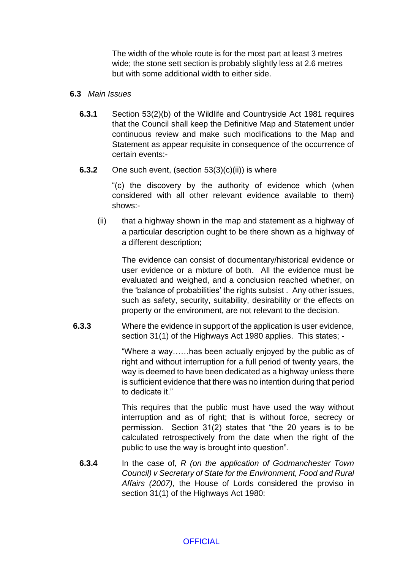The width of the whole route is for the most part at least 3 metres wide; the stone sett section is probably slightly less at 2.6 metres but with some additional width to either side.

#### **6.3** *Main Issues*

**6.3.1** Section 53(2)(b) of the Wildlife and Countryside Act 1981 requires that the Council shall keep the Definitive Map and Statement under continuous review and make such modifications to the Map and Statement as appear requisite in consequence of the occurrence of certain events:-

## **6.3.2** One such event, (section 53(3)(c)(ii)) is where

"(c) the discovery by the authority of evidence which (when considered with all other relevant evidence available to them) shows:-

(ii) that a highway shown in the map and statement as a highway of a particular description ought to be there shown as a highway of a different description;

The evidence can consist of documentary/historical evidence or user evidence or a mixture of both. All the evidence must be evaluated and weighed, and a conclusion reached whether, on the 'balance of probabilities' the rights subsist . Any other issues, such as safety, security, suitability, desirability or the effects on property or the environment, are not relevant to the decision.

**6.3.3** Where the evidence in support of the application is user evidence, section 31(1) of the Highways Act 1980 applies. This states; -

> "Where a way……has been actually enjoyed by the public as of right and without interruption for a full period of twenty years, the way is deemed to have been dedicated as a highway unless there is sufficient evidence that there was no intention during that period to dedicate it."

> This requires that the public must have used the way without interruption and as of right; that is without force, secrecy or permission. Section 31(2) states that "the 20 years is to be calculated retrospectively from the date when the right of the public to use the way is brought into question".

**6.3.4** In the case of*, R (on the application of Godmanchester Town Council) v Secretary of State for the Environment, Food and Rural Affairs (2007),* the House of Lords considered the proviso in section 31(1) of the Highways Act 1980: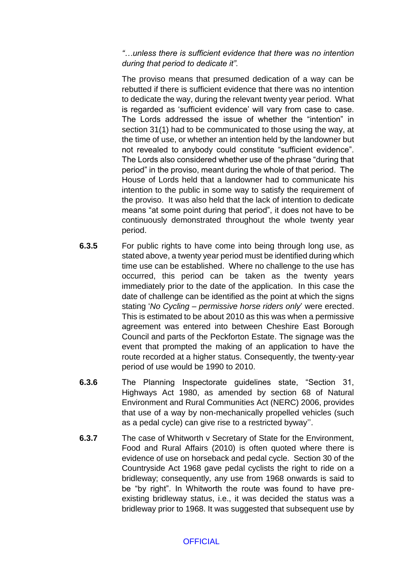*"…unless there is sufficient evidence that there was no intention during that period to dedicate it".* 

The proviso means that presumed dedication of a way can be rebutted if there is sufficient evidence that there was no intention to dedicate the way, during the relevant twenty year period. What is regarded as 'sufficient evidence' will vary from case to case. The Lords addressed the issue of whether the "intention" in section 31(1) had to be communicated to those using the way, at the time of use, or whether an intention held by the landowner but not revealed to anybody could constitute "sufficient evidence". The Lords also considered whether use of the phrase "during that period" in the proviso, meant during the whole of that period. The House of Lords held that a landowner had to communicate his intention to the public in some way to satisfy the requirement of the proviso. It was also held that the lack of intention to dedicate means "at some point during that period", it does not have to be continuously demonstrated throughout the whole twenty year period.

- **6.3.5** For public rights to have come into being through long use, as stated above, a twenty year period must be identified during which time use can be established. Where no challenge to the use has occurred, this period can be taken as the twenty years immediately prior to the date of the application. In this case the date of challenge can be identified as the point at which the signs stating '*No Cycling – permissive horse riders only*' were erected. This is estimated to be about 2010 as this was when a permissive agreement was entered into between Cheshire East Borough Council and parts of the Peckforton Estate. The signage was the event that prompted the making of an application to have the route recorded at a higher status. Consequently, the twenty-year period of use would be 1990 to 2010.
- **6.3.6** The Planning Inspectorate guidelines state, "Section 31, Highways Act 1980, as amended by section 68 of Natural Environment and Rural Communities Act (NERC) 2006, provides that use of a way by non-mechanically propelled vehicles (such as a pedal cycle) can give rise to a restricted byway''.
- **6.3.7** The case of Whitworth v Secretary of State for the Environment, Food and Rural Affairs (2010) is often quoted where there is evidence of use on horseback and pedal cycle. Section 30 of the Countryside Act 1968 gave pedal cyclists the right to ride on a bridleway; consequently, any use from 1968 onwards is said to be "by right". In Whitworth the route was found to have preexisting bridleway status, i.e., it was decided the status was a bridleway prior to 1968. It was suggested that subsequent use by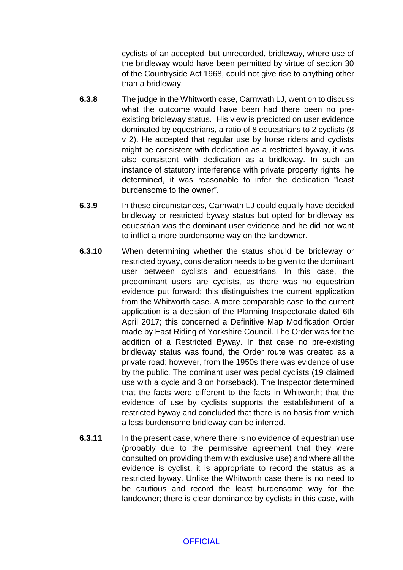cyclists of an accepted, but unrecorded, bridleway, where use of the bridleway would have been permitted by virtue of section 30 of the Countryside Act 1968, could not give rise to anything other than a bridleway.

- **6.3.8** The judge in the Whitworth case, Carnwath LJ, went on to discuss what the outcome would have been had there been no preexisting bridleway status. His view is predicted on user evidence dominated by equestrians, a ratio of 8 equestrians to 2 cyclists (8 v 2). He accepted that regular use by horse riders and cyclists might be consistent with dedication as a restricted byway, it was also consistent with dedication as a bridleway. In such an instance of statutory interference with private property rights, he determined, it was reasonable to infer the dedication "least burdensome to the owner".
- **6.3.9** In these circumstances, Carnwath LJ could equally have decided bridleway or restricted byway status but opted for bridleway as equestrian was the dominant user evidence and he did not want to inflict a more burdensome way on the landowner.
- **6.3.10** When determining whether the status should be bridleway or restricted byway, consideration needs to be given to the dominant user between cyclists and equestrians. In this case, the predominant users are cyclists, as there was no equestrian evidence put forward; this distinguishes the current application from the Whitworth case. A more comparable case to the current application is a decision of the Planning Inspectorate dated 6th April 2017; this concerned a Definitive Map Modification Order made by East Riding of Yorkshire Council. The Order was for the addition of a Restricted Byway. In that case no pre-existing bridleway status was found, the Order route was created as a private road; however, from the 1950s there was evidence of use by the public. The dominant user was pedal cyclists (19 claimed use with a cycle and 3 on horseback). The Inspector determined that the facts were different to the facts in Whitworth; that the evidence of use by cyclists supports the establishment of a restricted byway and concluded that there is no basis from which a less burdensome bridleway can be inferred.
- **6.3.11** In the present case, where there is no evidence of equestrian use (probably due to the permissive agreement that they were consulted on providing them with exclusive use) and where all the evidence is cyclist, it is appropriate to record the status as a restricted byway. Unlike the Whitworth case there is no need to be cautious and record the least burdensome way for the landowner; there is clear dominance by cyclists in this case, with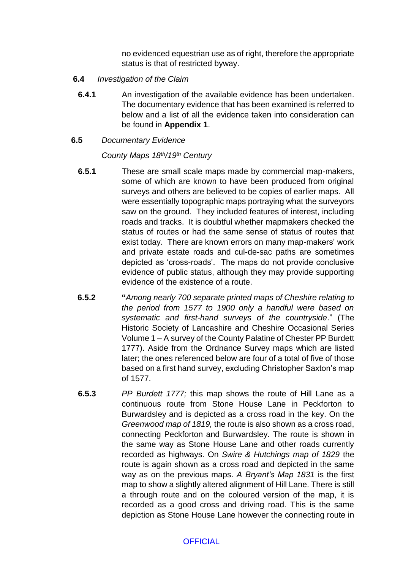no evidenced equestrian use as of right, therefore the appropriate status is that of restricted byway.

- **6.4** *Investigation of the Claim*
- **6.4.1** An investigation of the available evidence has been undertaken. The documentary evidence that has been examined is referred to below and a list of all the evidence taken into consideration can be found in **Appendix 1**.
- **6.5** *Documentary Evidence*

## *County Maps 18th/19th Century*

- **6.5.1** These are small scale maps made by commercial map-makers, some of which are known to have been produced from original surveys and others are believed to be copies of earlier maps. All were essentially topographic maps portraying what the surveyors saw on the ground. They included features of interest, including roads and tracks. It is doubtful whether mapmakers checked the status of routes or had the same sense of status of routes that exist today. There are known errors on many map-makers' work and private estate roads and cul-de-sac paths are sometimes depicted as 'cross-roads'. The maps do not provide conclusive evidence of public status, although they may provide supporting evidence of the existence of a route.
- **6.5.2 "***Among nearly 700 separate printed maps of Cheshire relating to the period from 1577 to 1900 only a handful were based on systematic and first-hand surveys of the countryside*." (The Historic Society of Lancashire and Cheshire Occasional Series Volume 1 – A survey of the County Palatine of Chester PP Burdett 1777). Aside from the Ordnance Survey maps which are listed later; the ones referenced below are four of a total of five of those based on a first hand survey, excluding Christopher Saxton's map of 1577.
- **6.5.3** *PP Burdett 1777;* this map shows the route of Hill Lane as a continuous route from Stone House Lane in Peckforton to Burwardsley and is depicted as a cross road in the key. On the *Greenwood map of 1819,* the route is also shown as a cross road, connecting Peckforton and Burwardsley. The route is shown in the same way as Stone House Lane and other roads currently recorded as highways. On *Swire & Hutchings map of 1829* the route is again shown as a cross road and depicted in the same way as on the previous maps. *A Bryant's Map 1831* is the first map to show a slightly altered alignment of Hill Lane. There is still a through route and on the coloured version of the map, it is recorded as a good cross and driving road. This is the same depiction as Stone House Lane however the connecting route in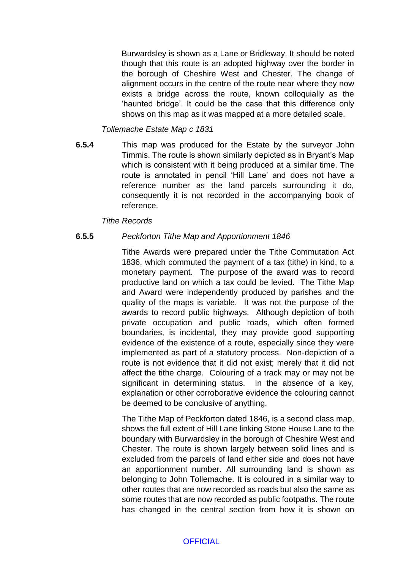Burwardsley is shown as a Lane or Bridleway. It should be noted though that this route is an adopted highway over the border in the borough of Cheshire West and Chester. The change of alignment occurs in the centre of the route near where they now exists a bridge across the route, known colloquially as the 'haunted bridge'. It could be the case that this difference only shows on this map as it was mapped at a more detailed scale.

## *Tollemache Estate Map c 1831*

 **6.5.4** This map was produced for the Estate by the surveyor John Timmis. The route is shown similarly depicted as in Bryant's Map which is consistent with it being produced at a similar time. The route is annotated in pencil 'Hill Lane' and does not have a reference number as the land parcels surrounding it do, consequently it is not recorded in the accompanying book of reference.

## *Tithe Records*

#### **6.5.5** *Peckforton Tithe Map and Apportionment 1846*

Tithe Awards were prepared under the Tithe Commutation Act 1836, which commuted the payment of a tax (tithe) in kind, to a monetary payment. The purpose of the award was to record productive land on which a tax could be levied. The Tithe Map and Award were independently produced by parishes and the quality of the maps is variable. It was not the purpose of the awards to record public highways. Although depiction of both private occupation and public roads, which often formed boundaries, is incidental, they may provide good supporting evidence of the existence of a route, especially since they were implemented as part of a statutory process. Non-depiction of a route is not evidence that it did not exist; merely that it did not affect the tithe charge. Colouring of a track may or may not be significant in determining status. In the absence of a key, explanation or other corroborative evidence the colouring cannot be deemed to be conclusive of anything.

The Tithe Map of Peckforton dated 1846, is a second class map, shows the full extent of Hill Lane linking Stone House Lane to the boundary with Burwardsley in the borough of Cheshire West and Chester. The route is shown largely between solid lines and is excluded from the parcels of land either side and does not have an apportionment number. All surrounding land is shown as belonging to John Tollemache. It is coloured in a similar way to other routes that are now recorded as roads but also the same as some routes that are now recorded as public footpaths. The route has changed in the central section from how it is shown on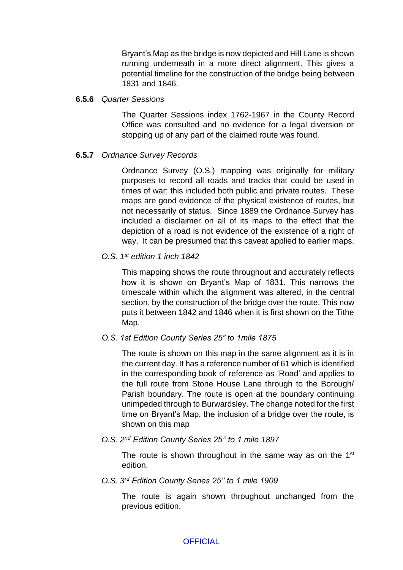Bryant's Map as the bridge is now depicted and Hill Lane is shown running underneath in a more direct alignment. This gives a potential timeline for the construction of the bridge being between 1831 and 1846.

### **6.5.6** *Quarter Sessions*

The Quarter Sessions index 1762-1967 in the County Record Office was consulted and no evidence for a legal diversion or stopping up of any part of the claimed route was found.

## **6.5.7** *Ordnance Survey Records*

Ordnance Survey (O.S.) mapping was originally for military purposes to record all roads and tracks that could be used in times of war; this included both public and private routes. These maps are good evidence of the physical existence of routes, but not necessarily of status. Since 1889 the Ordnance Survey has included a disclaimer on all of its maps to the effect that the depiction of a road is not evidence of the existence of a right of way. It can be presumed that this caveat applied to earlier maps.

## *O.S. 1st edition 1 inch 1842*

This mapping shows the route throughout and accurately reflects how it is shown on Bryant's Map of 1831. This narrows the timescale within which the alignment was altered, in the central section, by the construction of the bridge over the route. This now puts it between 1842 and 1846 when it is first shown on the Tithe Map.

## *O.S. 1st Edition County Series 25" to 1mile 1875*

The route is shown on this map in the same alignment as it is in the current day. It has a reference number of 61 which is identified in the corresponding book of reference as 'Road' and applies to the full route from Stone House Lane through to the Borough/ Parish boundary. The route is open at the boundary continuing unimpeded through to Burwardsley. The change noted for the first time on Bryant's Map, the inclusion of a bridge over the route, is shown on this map

*O.S. 2nd Edition County Series 25'' to 1 mile 1897*

The route is shown throughout in the same way as on the 1<sup>st</sup> edition.

*O.S. 3rd Edition County Series 25'' to 1 mile 1909*

The route is again shown throughout unchanged from the previous edition.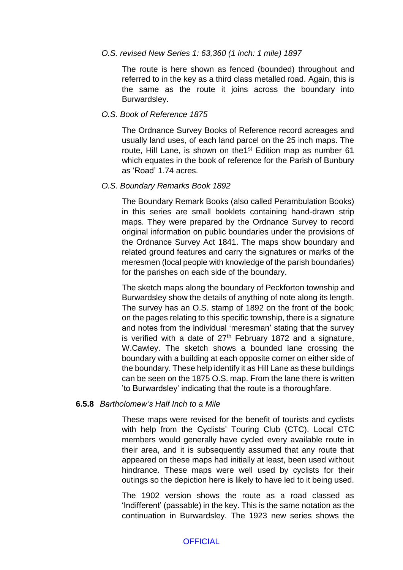#### *O.S. revised New Series 1: 63,360 (1 inch: 1 mile) 1897*

The route is here shown as fenced (bounded) throughout and referred to in the key as a third class metalled road. Again, this is the same as the route it joins across the boundary into Burwardsley.

#### *O.S. Book of Reference 1875*

The Ordnance Survey Books of Reference record acreages and usually land uses, of each land parcel on the 25 inch maps. The route, Hill Lane, is shown on the 1<sup>st</sup> Edition map as number 61 which equates in the book of reference for the Parish of Bunbury as 'Road' 1.74 acres.

#### *O.S. Boundary Remarks Book 1892*

The Boundary Remark Books (also called Perambulation Books) in this series are small booklets containing hand-drawn strip maps. They were prepared by the Ordnance Survey to record original information on public boundaries under the provisions of the Ordnance Survey Act 1841. The maps show boundary and related ground features and carry the signatures or marks of the meresmen (local people with knowledge of the parish boundaries) for the parishes on each side of the boundary.

The sketch maps along the boundary of Peckforton township and Burwardsley show the details of anything of note along its length. The survey has an O.S. stamp of 1892 on the front of the book; on the pages relating to this specific township, there is a signature and notes from the individual 'meresman' stating that the survey is verified with a date of  $27<sup>th</sup>$  February 1872 and a signature, W.Cawley. The sketch shows a bounded lane crossing the boundary with a building at each opposite corner on either side of the boundary. These help identify it as Hill Lane as these buildings can be seen on the 1875 O.S. map. From the lane there is written 'to Burwardsley' indicating that the route is a thoroughfare.

#### **6.5.8** *Bartholomew's Half Inch to a Mile*

These maps were revised for the benefit of tourists and cyclists with help from the Cyclists' Touring Club (CTC). Local CTC members would generally have cycled every available route in their area, and it is subsequently assumed that any route that appeared on these maps had initially at least, been used without hindrance. These maps were well used by cyclists for their outings so the depiction here is likely to have led to it being used.

The 1902 version shows the route as a road classed as 'Indifferent' (passable) in the key. This is the same notation as the continuation in Burwardsley. The 1923 new series shows the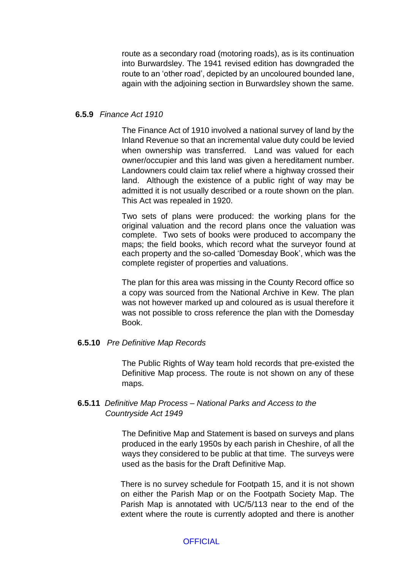route as a secondary road (motoring roads), as is its continuation into Burwardsley. The 1941 revised edition has downgraded the route to an 'other road', depicted by an uncoloured bounded lane, again with the adjoining section in Burwardsley shown the same.

#### **6.5.9** *Finance Act 1910*

The Finance Act of 1910 involved a national survey of land by the Inland Revenue so that an incremental value duty could be levied when ownership was transferred. Land was valued for each owner/occupier and this land was given a hereditament number. Landowners could claim tax relief where a highway crossed their land. Although the existence of a public right of way may be admitted it is not usually described or a route shown on the plan. This Act was repealed in 1920.

Two sets of plans were produced: the working plans for the original valuation and the record plans once the valuation was complete. Two sets of books were produced to accompany the maps; the field books, which record what the surveyor found at each property and the so-called 'Domesday Book', which was the complete register of properties and valuations.

The plan for this area was missing in the County Record office so a copy was sourced from the National Archive in Kew. The plan was not however marked up and coloured as is usual therefore it was not possible to cross reference the plan with the Domesday Book.

#### **6.5.10** *Pre Definitive Map Records*

The Public Rights of Way team hold records that pre-existed the Definitive Map process. The route is not shown on any of these maps.

## **6.5.11** *Definitive Map Process – National Parks and Access to the*  *Countryside Act 1949*

The Definitive Map and Statement is based on surveys and plans produced in the early 1950s by each parish in Cheshire, of all the ways they considered to be public at that time. The surveys were used as the basis for the Draft Definitive Map.

There is no survey schedule for Footpath 15, and it is not shown on either the Parish Map or on the Footpath Society Map. The Parish Map is annotated with UC/5/113 near to the end of the extent where the route is currently adopted and there is another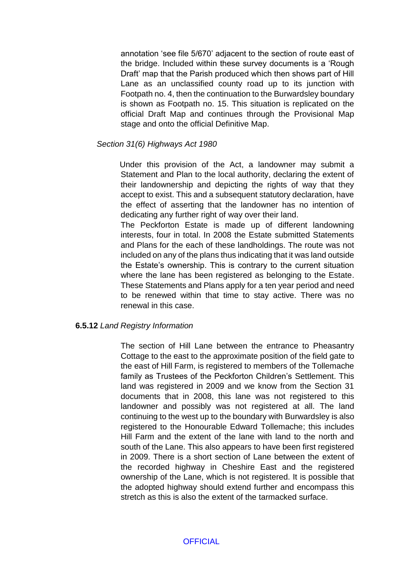annotation 'see file 5/670' adjacent to the section of route east of the bridge. Included within these survey documents is a 'Rough Draft' map that the Parish produced which then shows part of Hill Lane as an unclassified county road up to its junction with Footpath no. 4, then the continuation to the Burwardsley boundary is shown as Footpath no. 15. This situation is replicated on the official Draft Map and continues through the Provisional Map stage and onto the official Definitive Map.

## *Section 31(6) Highways Act 1980*

 Under this provision of the Act, a landowner may submit a Statement and Plan to the local authority, declaring the extent of their landownership and depicting the rights of way that they accept to exist. This and a subsequent statutory declaration, have the effect of asserting that the landowner has no intention of dedicating any further right of way over their land.

The Peckforton Estate is made up of different landowning interests, four in total. In 2008 the Estate submitted Statements and Plans for the each of these landholdings. The route was not included on any of the plans thus indicating that it was land outside the Estate's ownership. This is contrary to the current situation where the lane has been registered as belonging to the Estate. These Statements and Plans apply for a ten year period and need to be renewed within that time to stay active. There was no renewal in this case.

#### **6.5.12** *Land Registry Information*

The section of Hill Lane between the entrance to Pheasantry Cottage to the east to the approximate position of the field gate to the east of Hill Farm, is registered to members of the Tollemache family as Trustees of the Peckforton Children's Settlement. This land was registered in 2009 and we know from the Section 31 documents that in 2008, this lane was not registered to this landowner and possibly was not registered at all. The land continuing to the west up to the boundary with Burwardsley is also registered to the Honourable Edward Tollemache; this includes Hill Farm and the extent of the lane with land to the north and south of the Lane. This also appears to have been first registered in 2009. There is a short section of Lane between the extent of the recorded highway in Cheshire East and the registered ownership of the Lane, which is not registered. It is possible that the adopted highway should extend further and encompass this stretch as this is also the extent of the tarmacked surface.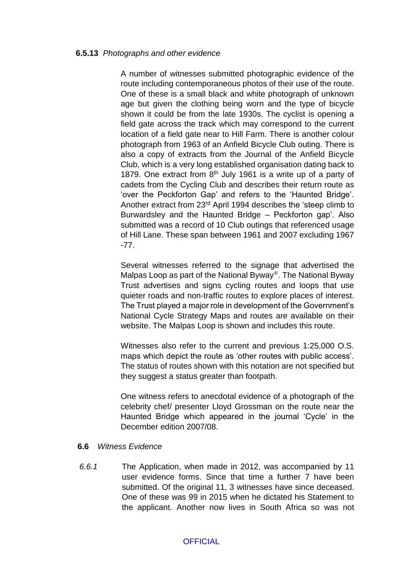### **6.5.13** *Photographs and other evidence*

A number of witnesses submitted photographic evidence of the route including contemporaneous photos of their use of the route. One of these is a small black and white photograph of unknown age but given the clothing being worn and the type of bicycle shown it could be from the late 1930s. The cyclist is opening a field gate across the track which may correspond to the current location of a field gate near to Hill Farm. There is another colour photograph from 1963 of an Anfield Bicycle Club outing. There is also a copy of extracts from the Journal of the Anfield Bicycle Club, which is a very long established organisation dating back to 1879. One extract from  $8<sup>th</sup>$  July 1961 is a write up of a party of cadets from the Cycling Club and describes their return route as 'over the Peckforton Gap' and refers to the 'Haunted Bridge'. Another extract from 23rd April 1994 describes the 'steep climb to Burwardsley and the Haunted Bridge – Peckforton gap'. Also submitted was a record of 10 Club outings that referenced usage of Hill Lane. These span between 1961 and 2007 excluding 1967 -77.

Several witnesses referred to the signage that advertised the Malpas Loop as part of the National Byway®. The National Byway Trust advertises and signs cycling routes and loops that use quieter roads and non-traffic routes to explore places of interest. The Trust played a major role in development of the Government's National Cycle Strategy Maps and routes are available on their website. The Malpas Loop is shown and includes this route.

Witnesses also refer to the current and previous 1:25,000 O.S. maps which depict the route as 'other routes with public access'. The status of routes shown with this notation are not specified but they suggest a status greater than footpath.

One witness refers to anecdotal evidence of a photograph of the celebrity chef/ presenter Lloyd Grossman on the route near the Haunted Bridge which appeared in the journal 'Cycle' in the December edition 2007/08.

#### **6.6** *Witness Evidence*

*6.6.1* The Application, when made in 2012, was accompanied by 11 user evidence forms. Since that time a further 7 have been submitted. Of the original 11, 3 witnesses have since deceased. One of these was 99 in 2015 when he dictated his Statement to the applicant. Another now lives in South Africa so was not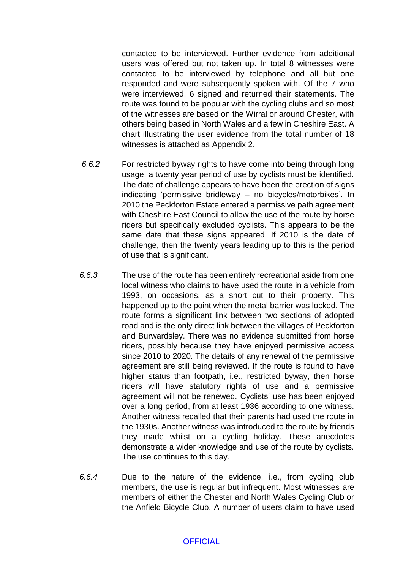contacted to be interviewed. Further evidence from additional users was offered but not taken up. In total 8 witnesses were contacted to be interviewed by telephone and all but one responded and were subsequently spoken with. Of the 7 who were interviewed, 6 signed and returned their statements. The route was found to be popular with the cycling clubs and so most of the witnesses are based on the Wirral or around Chester, with others being based in North Wales and a few in Cheshire East. A chart illustrating the user evidence from the total number of 18 witnesses is attached as Appendix 2.

- *6.6.2* For restricted byway rights to have come into being through long usage, a twenty year period of use by cyclists must be identified. The date of challenge appears to have been the erection of signs indicating 'permissive bridleway – no bicycles/motorbikes'. In 2010 the Peckforton Estate entered a permissive path agreement with Cheshire East Council to allow the use of the route by horse riders but specifically excluded cyclists. This appears to be the same date that these signs appeared. If 2010 is the date of challenge, then the twenty years leading up to this is the period of use that is significant.
- *6.6.3* The use of the route has been entirely recreational aside from one local witness who claims to have used the route in a vehicle from 1993, on occasions, as a short cut to their property. This happened up to the point when the metal barrier was locked. The route forms a significant link between two sections of adopted road and is the only direct link between the villages of Peckforton and Burwardsley. There was no evidence submitted from horse riders, possibly because they have enjoyed permissive access since 2010 to 2020. The details of any renewal of the permissive agreement are still being reviewed. If the route is found to have higher status than footpath, i.e., restricted byway, then horse riders will have statutory rights of use and a permissive agreement will not be renewed. Cyclists' use has been enjoyed over a long period, from at least 1936 according to one witness. Another witness recalled that their parents had used the route in the 1930s. Another witness was introduced to the route by friends they made whilst on a cycling holiday. These anecdotes demonstrate a wider knowledge and use of the route by cyclists. The use continues to this day.
- *6.6.4* Due to the nature of the evidence, i.e., from cycling club members, the use is regular but infrequent. Most witnesses are members of either the Chester and North Wales Cycling Club or the Anfield Bicycle Club. A number of users claim to have used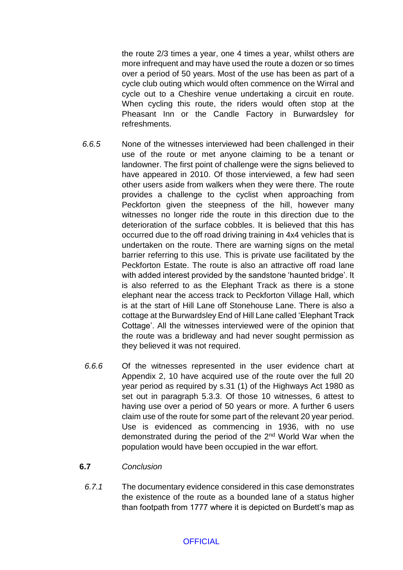the route 2/3 times a year, one 4 times a year, whilst others are more infrequent and may have used the route a dozen or so times over a period of 50 years. Most of the use has been as part of a cycle club outing which would often commence on the Wirral and cycle out to a Cheshire venue undertaking a circuit en route. When cycling this route, the riders would often stop at the Pheasant Inn or the Candle Factory in Burwardsley for refreshments.

- *6.6.5* None of the witnesses interviewed had been challenged in their use of the route or met anyone claiming to be a tenant or landowner. The first point of challenge were the signs believed to have appeared in 2010. Of those interviewed, a few had seen other users aside from walkers when they were there. The route provides a challenge to the cyclist when approaching from Peckforton given the steepness of the hill, however many witnesses no longer ride the route in this direction due to the deterioration of the surface cobbles. It is believed that this has occurred due to the off road driving training in 4x4 vehicles that is undertaken on the route. There are warning signs on the metal barrier referring to this use. This is private use facilitated by the Peckforton Estate. The route is also an attractive off road lane with added interest provided by the sandstone 'haunted bridge'. It is also referred to as the Elephant Track as there is a stone elephant near the access track to Peckforton Village Hall, which is at the start of Hill Lane off Stonehouse Lane. There is also a cottage at the Burwardsley End of Hill Lane called 'Elephant Track Cottage'. All the witnesses interviewed were of the opinion that the route was a bridleway and had never sought permission as they believed it was not required.
- *6.6.6* Of the witnesses represented in the user evidence chart at Appendix 2, 10 have acquired use of the route over the full 20 year period as required by s.31 (1) of the Highways Act 1980 as set out in paragraph 5.3.3. Of those 10 witnesses, 6 attest to having use over a period of 50 years or more. A further 6 users claim use of the route for some part of the relevant 20 year period. Use is evidenced as commencing in 1936, with no use demonstrated during the period of the 2<sup>nd</sup> World War when the population would have been occupied in the war effort.

## **6.7** *Conclusion*

*6.7.1* The documentary evidence considered in this case demonstrates the existence of the route as a bounded lane of a status higher than footpath from 1777 where it is depicted on Burdett's map as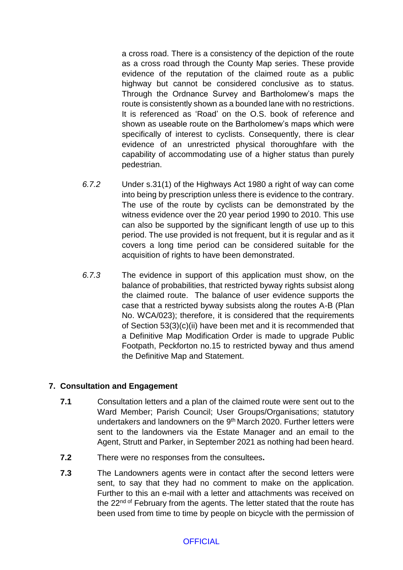a cross road. There is a consistency of the depiction of the route as a cross road through the County Map series. These provide evidence of the reputation of the claimed route as a public highway but cannot be considered conclusive as to status. Through the Ordnance Survey and Bartholomew's maps the route is consistently shown as a bounded lane with no restrictions. It is referenced as 'Road' on the O.S. book of reference and shown as useable route on the Bartholomew's maps which were specifically of interest to cyclists. Consequently, there is clear evidence of an unrestricted physical thoroughfare with the capability of accommodating use of a higher status than purely pedestrian.

- *6.7.2* Under s.31(1) of the Highways Act 1980 a right of way can come into being by prescription unless there is evidence to the contrary. The use of the route by cyclists can be demonstrated by the witness evidence over the 20 year period 1990 to 2010. This use can also be supported by the significant length of use up to this period. The use provided is not frequent, but it is regular and as it covers a long time period can be considered suitable for the acquisition of rights to have been demonstrated.
- *6.7.3* The evidence in support of this application must show, on the balance of probabilities, that restricted byway rights subsist along the claimed route. The balance of user evidence supports the case that a restricted byway subsists along the routes A-B (Plan No. WCA/023); therefore, it is considered that the requirements of Section 53(3)(c)(ii) have been met and it is recommended that a Definitive Map Modification Order is made to upgrade Public Footpath, Peckforton no.15 to restricted byway and thus amend the Definitive Map and Statement.

## **7. Consultation and Engagement**

- **7.1** Consultation letters and a plan of the claimed route were sent out to the Ward Member: Parish Council: User Groups/Organisations: statutory undertakers and landowners on the 9<sup>th</sup> March 2020. Further letters were sent to the landowners via the Estate Manager and an email to the Agent, Strutt and Parker, in September 2021 as nothing had been heard.
- **7.2** There were no responses from the consultees**.**
- **7.3** The Landowners agents were in contact after the second letters were sent, to say that they had no comment to make on the application. Further to this an e-mail with a letter and attachments was received on the 22<sup>nd of</sup> February from the agents. The letter stated that the route has been used from time to time by people on bicycle with the permission of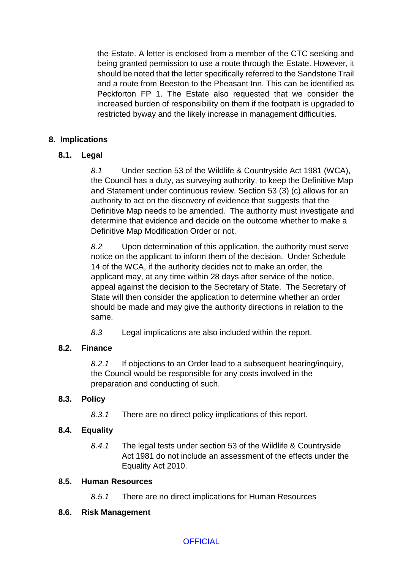the Estate. A letter is enclosed from a member of the CTC seeking and being granted permission to use a route through the Estate. However, it should be noted that the letter specifically referred to the Sandstone Trail and a route from Beeston to the Pheasant Inn. This can be identified as Peckforton FP 1. The Estate also requested that we consider the increased burden of responsibility on them if the footpath is upgraded to restricted byway and the likely increase in management difficulties.

## **8. Implications**

## **8.1. Legal**

*8.1* Under section 53 of the Wildlife & Countryside Act 1981 (WCA), the Council has a duty, as surveying authority, to keep the Definitive Map and Statement under continuous review. Section 53 (3) (c) allows for an authority to act on the discovery of evidence that suggests that the Definitive Map needs to be amended. The authority must investigate and determine that evidence and decide on the outcome whether to make a Definitive Map Modification Order or not.

*8.2* Upon determination of this application, the authority must serve notice on the applicant to inform them of the decision. Under Schedule 14 of the WCA, if the authority decides not to make an order, the applicant may, at any time within 28 days after service of the notice, appeal against the decision to the Secretary of State. The Secretary of State will then consider the application to determine whether an order should be made and may give the authority directions in relation to the same.

*8.3* Legal implications are also included within the report.

## **8.2. Finance**

*8.2.1* If objections to an Order lead to a subsequent hearing/inquiry, the Council would be responsible for any costs involved in the preparation and conducting of such.

# **8.3. Policy**

*8.3.1* There are no direct policy implications of this report.

# **8.4. Equality**

*8.4.1* The legal tests under section 53 of the Wildlife & Countryside Act 1981 do not include an assessment of the effects under the Equality Act 2010.

## **8.5. Human Resources**

*8.5.1* There are no direct implications for Human Resources

## **8.6. Risk Management**